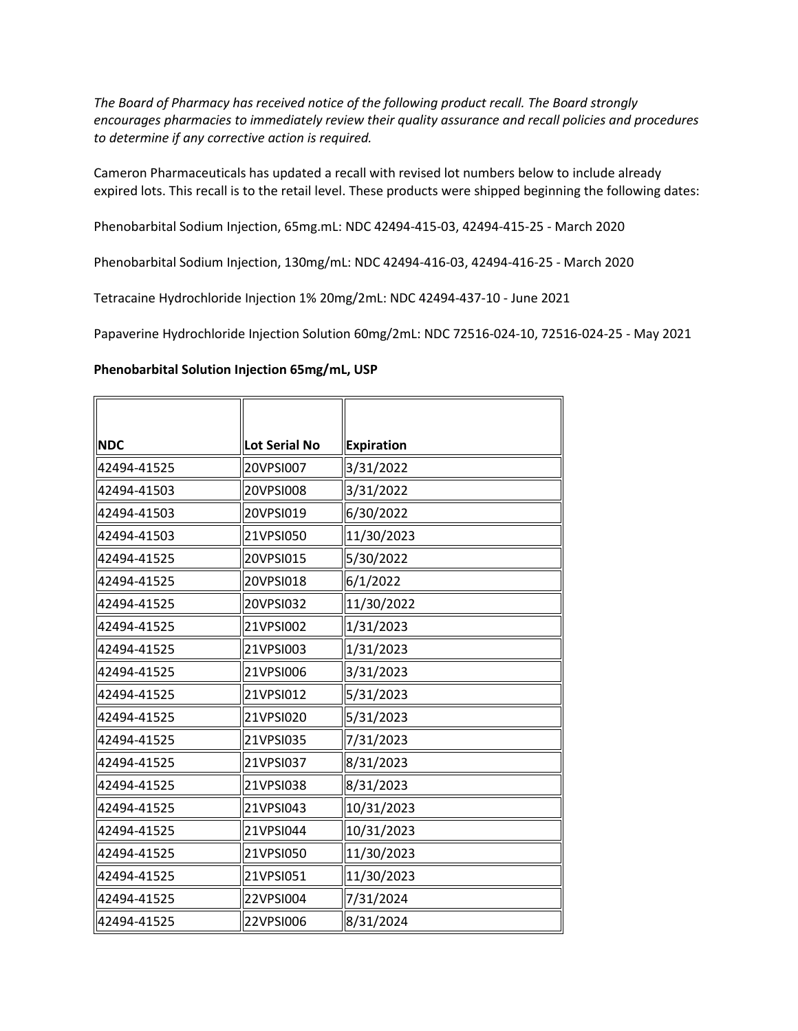*The Board of Pharmacy has received notice of the following product recall. The Board strongly encourages pharmacies to immediately review their quality assurance and recall policies and procedures to determine if any corrective action is required.* 

Cameron Pharmaceuticals has updated a recall with revised lot numbers below to include already expired lots. This recall is to the retail level. These products were shipped beginning the following dates:

Phenobarbital Sodium Injection, 65mg.mL: NDC 42494-415-03, 42494-415-25 - March 2020

Phenobarbital Sodium Injection, 130mg/mL: NDC 42494-416-03, 42494-416-25 - March 2020

Tetracaine Hydrochloride Injection 1% 20mg/2mL: NDC 42494-437-10 - June 2021

Papaverine Hydrochloride Injection Solution 60mg/2mL: NDC 72516-024-10, 72516-024-25 - May 2021

## **Phenobarbital Solution Injection 65mg/mL, USP**

| <b>NDC</b>  | <b>Lot Serial No</b> | <b>Expiration</b> |
|-------------|----------------------|-------------------|
| 42494-41525 | 20VPSI007            | 3/31/2022         |
| 42494-41503 | 20VPSI008            | 3/31/2022         |
| 42494-41503 | 20VPSI019            | 6/30/2022         |
| 42494-41503 | 21VPSI050            | 11/30/2023        |
| 42494-41525 | 20VPSI015            | 5/30/2022         |
| 42494-41525 | 20VPSI018            | 6/1/2022          |
| 42494-41525 | 20VPSI032            | 11/30/2022        |
| 42494-41525 | 21VPSI002            | 1/31/2023         |
| 42494-41525 | 21VPSI003            | 1/31/2023         |
| 42494-41525 | 21VPSI006            | 3/31/2023         |
| 42494-41525 | 21VPSI012            | 5/31/2023         |
| 42494-41525 | 21VPSI020            | 5/31/2023         |
| 42494-41525 | 21VPSI035            | 7/31/2023         |
| 42494-41525 | 21VPSI037            | 8/31/2023         |
| 42494-41525 | 21VPSI038            | 8/31/2023         |
| 42494-41525 | 21VPSI043            | 10/31/2023        |
| 42494-41525 | 21VPSI044            | 10/31/2023        |
| 42494-41525 | 21VPSI050            | 11/30/2023        |
| 42494-41525 | 21VPSI051            | 11/30/2023        |
| 42494-41525 | 22VPSI004            | 7/31/2024         |
| 42494-41525 | 22VPSI006            | 8/31/2024         |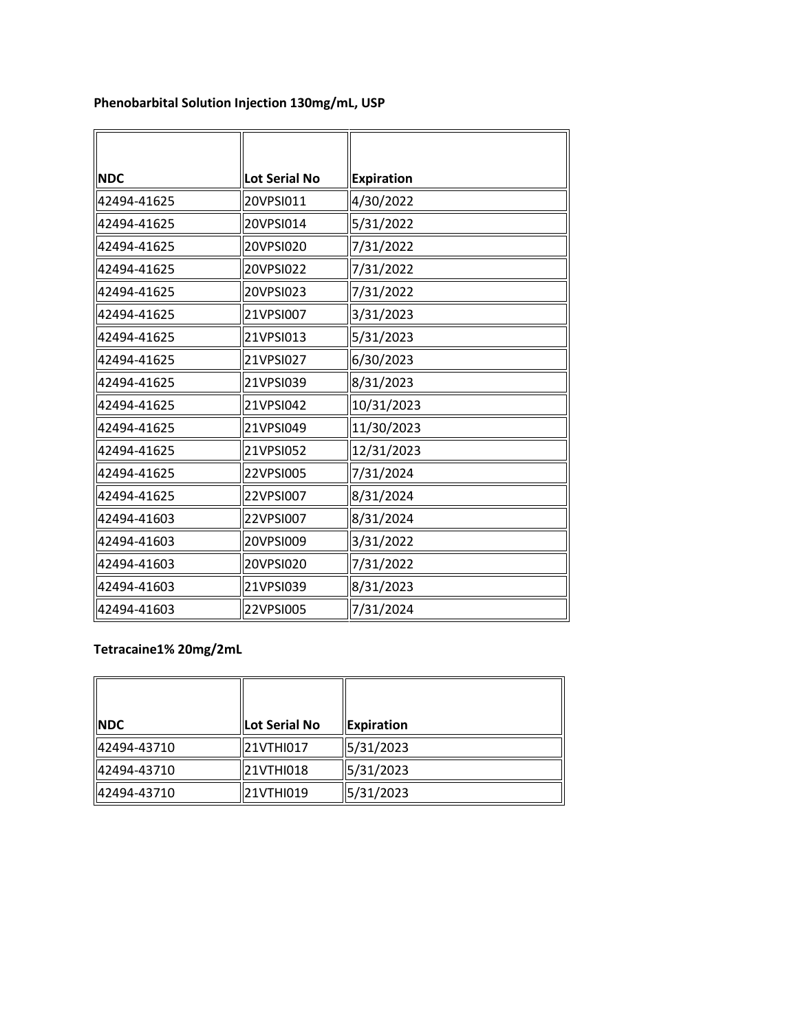| <b>NDC</b>  | Lot Serial No | <b>Expiration</b> |
|-------------|---------------|-------------------|
| 42494-41625 | 20VPSI011     | 4/30/2022         |
| 42494-41625 | 20VPSI014     | 5/31/2022         |
| 42494-41625 | 20VPSI020     | 7/31/2022         |
| 42494-41625 | 20VPSI022     | 7/31/2022         |
| 42494-41625 | 20VPSI023     | 7/31/2022         |
| 42494-41625 | 21VPSI007     | 3/31/2023         |
| 42494-41625 | 21VPSI013     | 5/31/2023         |
| 42494-41625 | 21VPSI027     | 6/30/2023         |
| 42494-41625 | 21VPSI039     | 8/31/2023         |
| 42494-41625 | 21VPSI042     | 10/31/2023        |
| 42494-41625 | 21VPSI049     | 11/30/2023        |
| 42494-41625 | 21VPSI052     | 12/31/2023        |
| 42494-41625 | 22VPSI005     | 7/31/2024         |
| 42494-41625 | 22VPSI007     | 8/31/2024         |
| 42494-41603 | 22VPSI007     | 8/31/2024         |
| 42494-41603 | 20VPSI009     | 3/31/2022         |
| 42494-41603 | 20VPSI020     | 7/31/2022         |
| 42494-41603 | 21VPSI039     | 8/31/2023         |
| 42494-41603 | 22VPSI005     | 7/31/2024         |

**Phenobarbital Solution Injection 130mg/mL, USP** 

## **Tetracaine1% 20mg/2mL**

| <b>NDC</b>  | Lot Serial No | Expiration |
|-------------|---------------|------------|
| 42494-43710 | 21VTHI017     | 5/31/2023  |
| 42494-43710 | 21VTHI018     | 5/31/2023  |
| 42494-43710 | 21VTHI019     | 5/31/2023  |